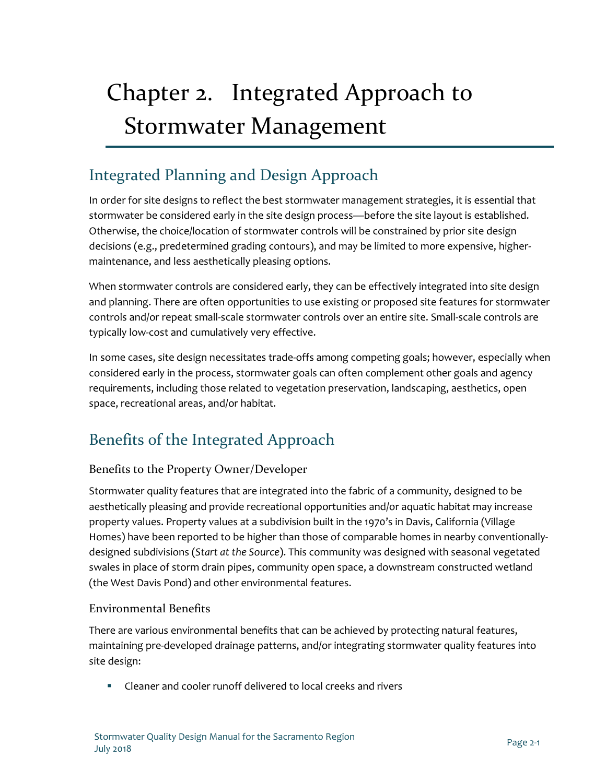# Chapter 2. Integrated Approach to Stormwater Management

# Integrated Planning and Design Approach

In order for site designs to reflect the best stormwater management strategies, it is essential that stormwater be considered early in the site design process—before the site layout is established. Otherwise, the choice/location of stormwater controls will be constrained by prior site design decisions (e.g., predetermined grading contours), and may be limited to more expensive, highermaintenance, and less aesthetically pleasing options.

When stormwater controls are considered early, they can be effectively integrated into site design and planning. There are often opportunities to use existing or proposed site features for stormwater controls and/or repeat small-scale stormwater controls over an entire site. Small-scale controls are typically low-cost and cumulatively very effective.

In some cases, site design necessitates trade-offs among competing goals; however, especially when considered early in the process, stormwater goals can often complement other goals and agency requirements, including those related to vegetation preservation, landscaping, aesthetics, open space, recreational areas, and/or habitat.

# Benefits of the Integrated Approach

# Benefits to the Property Owner/Developer

Stormwater quality features that are integrated into the fabric of a community, designed to be aesthetically pleasing and provide recreational opportunities and/or aquatic habitat may increase property values. Property values at a subdivision built in the 1970's in Davis, California (Village Homes) have been reported to be higher than those of comparable homes in nearby conventionallydesigned subdivisions (*Start at the Source*). This community was designed with seasonal vegetated swales in place of storm drain pipes, community open space, a downstream constructed wetland (the West Davis Pond) and other environmental features.

# Environmental Benefits

There are various environmental benefits that can be achieved by protecting natural features, maintaining pre-developed drainage patterns, and/or integrating stormwater quality features into site design:

Cleaner and cooler runoff delivered to local creeks and rivers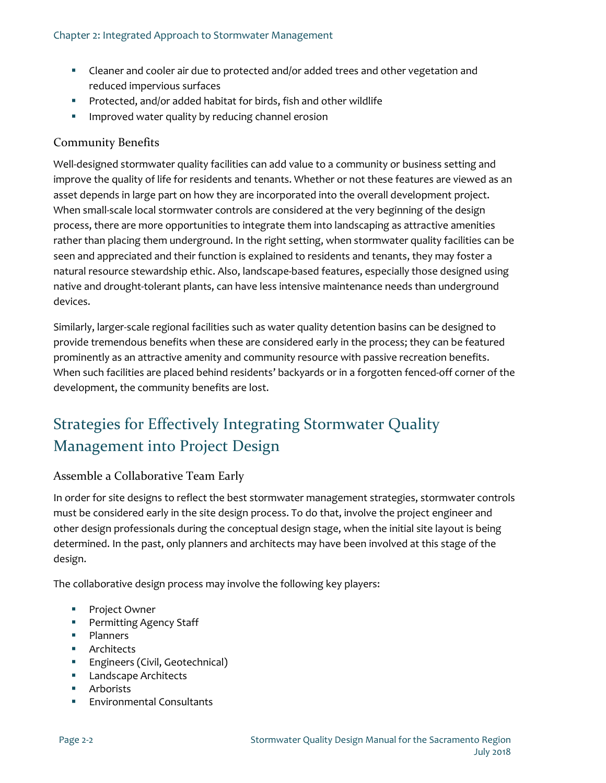- Cleaner and cooler air due to protected and/or added trees and other vegetation and reduced impervious surfaces
- **Protected, and/or added habitat for birds, fish and other wildlife**
- **IMPROVED WATER 45 IMPS 2018 12 IMPROVED WATER** 10 IMPROVED **I**

# Community Benefits

Well-designed stormwater quality facilities can add value to a community or business setting and improve the quality of life for residents and tenants. Whether or not these features are viewed as an asset depends in large part on how they are incorporated into the overall development project. When small-scale local stormwater controls are considered at the very beginning of the design process, there are more opportunities to integrate them into landscaping as attractive amenities rather than placing them underground. In the right setting, when stormwater quality facilities can be seen and appreciated and their function is explained to residents and tenants, they may foster a natural resource stewardship ethic. Also, landscape-based features, especially those designed using native and drought-tolerant plants, can have less intensive maintenance needs than underground devices.

Similarly, larger-scale regional facilities such as water quality detention basins can be designed to provide tremendous benefits when these are considered early in the process; they can be featured prominently as an attractive amenity and community resource with passive recreation benefits. When such facilities are placed behind residents' backyards or in a forgotten fenced-off corner of the development, the community benefits are lost.

# Strategies for Effectively Integrating Stormwater Quality Management into Project Design

# Assemble a Collaborative Team Early

In order for site designs to reflect the best stormwater management strategies, stormwater controls must be considered early in the site design process. To do that, involve the project engineer and other design professionals during the conceptual design stage, when the initial site layout is being determined. In the past, only planners and architects may have been involved at this stage of the design.

The collaborative design process may involve the following key players:

- **Project Owner**
- **Permitting Agency Staff**
- **Planners**
- **Architects**
- **Engineers (Civil, Geotechnical)**
- **Landscape Architects**
- **Arborists**
- Environmental Consultants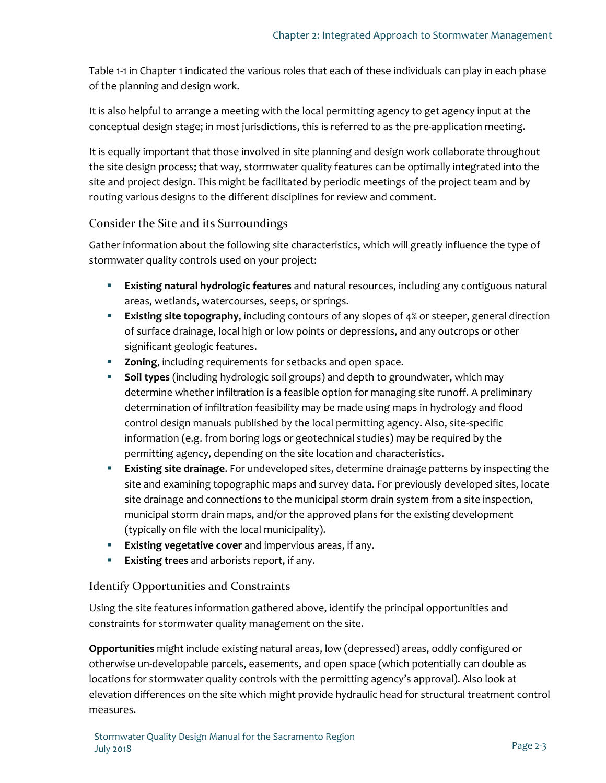[Table 1-1](#page--1-0) in [Chapter 1](#page--1-0) indicated the various roles that each of these individuals can play in each phase of the planning and design work.

It is also helpful to arrange a meeting with the local permitting agency to get agency input at the conceptual design stage; in most jurisdictions, this is referred to as the pre-application meeting.

It is equally important that those involved in site planning and design work collaborate throughout the site design process; that way, stormwater quality features can be optimally integrated into the site and project design. This might be facilitated by periodic meetings of the project team and by routing various designs to the different disciplines for review and comment.

# Consider the Site and its Surroundings

Gather information about the following site characteristics, which will greatly influence the type of stormwater quality controls used on your project:

- **Existing natural hydrologic features** and natural resources, including any contiguous natural areas, wetlands, watercourses, seeps, or springs.
- **Existing site topography**, including contours of any slopes of 4% or steeper, general direction of surface drainage, local high or low points or depressions, and any outcrops or other significant geologic features.
- **Zoning**, including requirements for setbacks and open space.
- **Soil types** (including hydrologic soil groups) and depth to groundwater, which may determine whether infiltration is a feasible option for managing site runoff. A preliminary determination of infiltration feasibility may be made using maps in hydrology and flood control design manuals published by the local permitting agency. Also, site-specific information (e.g. from boring logs or geotechnical studies) may be required by the permitting agency, depending on the site location and characteristics.
- **Existing site drainage**. For undeveloped sites, determine drainage patterns by inspecting the site and examining topographic maps and survey data. For previously developed sites, locate site drainage and connections to the municipal storm drain system from a site inspection, municipal storm drain maps, and/or the approved plans for the existing development (typically on file with the local municipality).
- **Existing vegetative cover** and impervious areas, if any.
- **Existing trees** and arborists report, if any.

# Identify Opportunities and Constraints

Using the site features information gathered above, identify the principal opportunities and constraints for stormwater quality management on the site.

**Opportunities** might include existing natural areas, low (depressed) areas, oddly configured or otherwise un-developable parcels, easements, and open space (which potentially can double as locations for stormwater quality controls with the permitting agency's approval). Also look at elevation differences on the site which might provide hydraulic head for structural treatment control measures.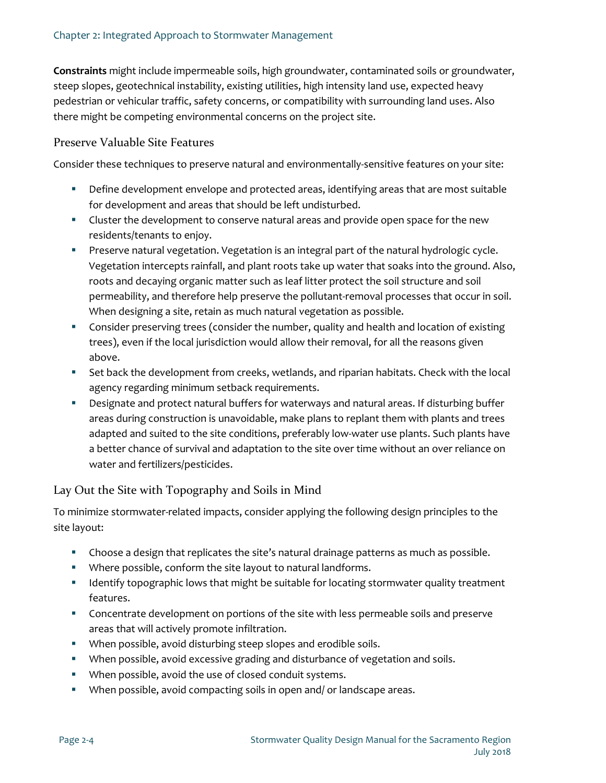**Constraints** might include impermeable soils, high groundwater, contaminated soils or groundwater, steep slopes, geotechnical instability, existing utilities, high intensity land use, expected heavy pedestrian or vehicular traffic, safety concerns, or compatibility with surrounding land uses. Also there might be competing environmental concerns on the project site.

#### Preserve Valuable Site Features

Consider these techniques to preserve natural and environmentally-sensitive features on your site:

- Define development envelope and protected areas, identifying areas that are most suitable for development and areas that should be left undisturbed.
- **EXEC** Cluster the development to conserve natural areas and provide open space for the new residents/tenants to enjoy.
- **Preserve natural vegetation. Vegetation is an integral part of the natural hydrologic cycle.** Vegetation intercepts rainfall, and plant roots take up water that soaks into the ground. Also, roots and decaying organic matter such as leaf litter protect the soil structure and soil permeability, and therefore help preserve the pollutant-removal processes that occur in soil. When designing a site, retain as much natural vegetation as possible.
- **Consider preserving trees (consider the number, quality and health and location of existing** trees), even if the local jurisdiction would allow their removal, for all the reasons given above.
- Set back the development from creeks, wetlands, and riparian habitats. Check with the local agency regarding minimum setback requirements.
- Designate and protect natural buffers for waterways and natural areas. If disturbing buffer areas during construction is unavoidable, make plans to replant them with plants and trees adapted and suited to the site conditions, preferably low-water use plants. Such plants have a better chance of survival and adaptation to the site over time without an over reliance on water and fertilizers/pesticides.

# Lay Out the Site with Topography and Soils in Mind

To minimize stormwater-related impacts, consider applying the following design principles to the site layout:

- Choose a design that replicates the site's natural drainage patterns as much as possible.
- Where possible, conform the site layout to natural landforms.
- **If all identify topographic lows that might be suitable for locating stormwater quality treatment** features.
- Concentrate development on portions of the site with less permeable soils and preserve areas that will actively promote infiltration.
- When possible, avoid disturbing steep slopes and erodible soils.
- When possible, avoid excessive grading and disturbance of vegetation and soils.
- When possible, avoid the use of closed conduit systems.
- When possible, avoid compacting soils in open and/ or landscape areas.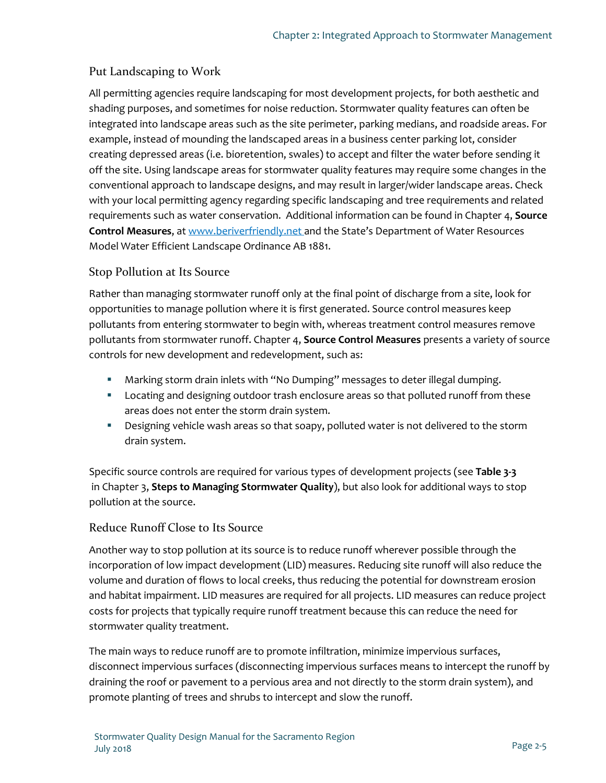# Put Landscaping to Work

All permitting agencies require landscaping for most development projects, for both aesthetic and shading purposes, and sometimes for noise reduction. Stormwater quality features can often be integrated into landscape areas such as the site perimeter, parking medians, and roadside areas. For example, instead of mounding the landscaped areas in a business center parking lot, consider creating depressed areas (i.e. bioretention, swales) to accept and filter the water before sending it off the site. Using landscape areas for stormwater quality features may require some changes in the conventional approach to landscape designs, and may result in larger/wider landscape areas. Check with your local permitting agency regarding specific landscaping and tree requirements and related requirements such as water conservation. Additional information can be found in [Chapter 4,](#page--1-0) **Source Control Measures**, a[t www.beriverfriendly.net](http://www.beriverfriendly.net/) and the State's Department of Water Resources Model Water Efficient Landscape Ordinance AB 1881.

# Stop Pollution at Its Source

Rather than managing stormwater runoff only at the final point of discharge from a site, look for opportunities to manage pollution where it is first generated. Source control measures keep pollutants from entering stormwater to begin with, whereas treatment control measures remove pollutants from stormwater runoff[. Chapter 4,](#page--1-0) **Source Control Measures** presents a variety of source controls for new development and redevelopment, such as:

- Marking storm drain inlets with "No Dumping" messages to deter illegal dumping.
- **Locating and designing outdoor trash enclosure areas so that polluted runoff from these** areas does not enter the storm drain system.
- Designing vehicle wash areas so that soapy, polluted water is not delivered to the storm drain system.

Specific source controls are required for various types of development projects (see **Table 3-3** in [Chapter 3,](#page--1-0) **Steps to Managing Stormwater Quality**), but also look for additional ways to stop pollution at the source.

# Reduce Runoff Close to Its Source

Another way to stop pollution at its source is to reduce runoff wherever possible through the incorporation of low impact development (LID) measures. Reducing site runoff will also reduce the volume and duration of flows to local creeks, thus reducing the potential for downstream erosion and habitat impairment. LID measures are required for all projects. LID measures can reduce project costs for projects that typically require runoff treatment because this can reduce the need for stormwater quality treatment.

The main ways to reduce runoff are to promote infiltration, minimize impervious surfaces, disconnect impervious surfaces (disconnecting impervious surfaces means to intercept the runoff by draining the roof or pavement to a pervious area and not directly to the storm drain system), and promote planting of trees and shrubs to intercept and slow the runoff.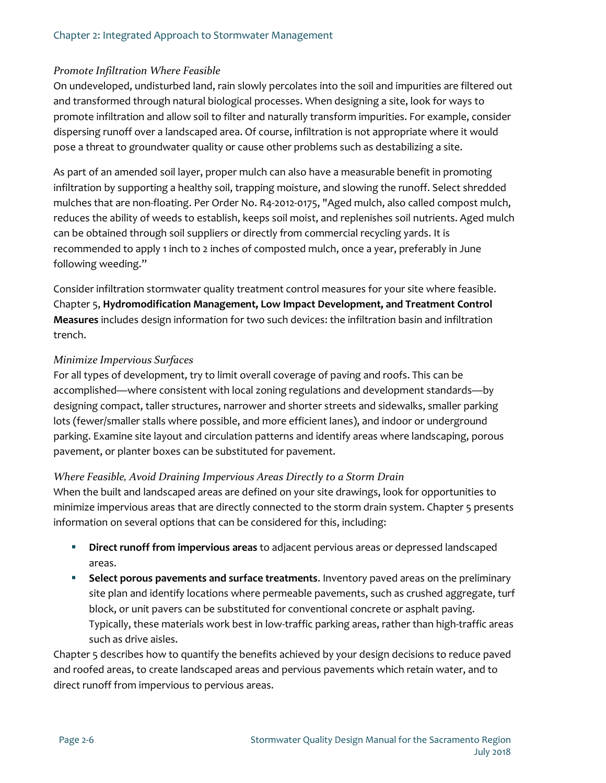#### *Promote Infiltration Where Feasible*

On undeveloped, undisturbed land, rain slowly percolates into the soil and impurities are filtered out and transformed through natural biological processes. When designing a site, look for ways to promote infiltration and allow soil to filter and naturally transform impurities. For example, consider dispersing runoff over a landscaped area. Of course, infiltration is not appropriate where it would pose a threat to groundwater quality or cause other problems such as destabilizing a site.

As part of an amended soil layer, proper mulch can also have a measurable benefit in promoting infiltration by supporting a healthy soil, trapping moisture, and slowing the runoff. Select shredded mulches that are non-floating. Per Order No. R4-2012-0175, "Aged mulch, also called compost mulch, reduces the ability of weeds to establish, keeps soil moist, and replenishes soil nutrients. Aged mulch can be obtained through soil suppliers or directly from commercial recycling yards. It is recommended to apply 1 inch to 2 inches of composted mulch, once a year, preferably in June following weeding."

Consider infiltration stormwater quality treatment control measures for your site where feasible. [Chapter 5,](#page--1-0) **Hydromodification Management, Low Impact Development, and Treatment Control Measures** includes design information for two such devices: the infiltration basin and infiltration trench.

#### *Minimize Impervious Surfaces*

For all types of development, try to limit overall coverage of paving and roofs. This can be accomplished—where consistent with local zoning regulations and development standards—by designing compact, taller structures, narrower and shorter streets and sidewalks, smaller parking lots (fewer/smaller stalls where possible, and more efficient lanes), and indoor or underground parking. Examine site layout and circulation patterns and identify areas where landscaping, porous pavement, or planter boxes can be substituted for pavement.

#### *Where Feasible, Avoid Draining Impervious Areas Directly to a Storm Drain*

When the built and landscaped areas are defined on your site drawings, look for opportunities to minimize impervious areas that are directly connected to the storm drain system[. Chapter 5](#page--1-0) presents information on several options that can be considered for this, including:

- **Direct runoff from impervious areas** to adjacent pervious areas or depressed landscaped areas.
- **Select porous pavements and surface treatments.** Inventory paved areas on the preliminary site plan and identify locations where permeable pavements, such as crushed aggregate, turf block, or unit pavers can be substituted for conventional concrete or asphalt paving. Typically, these materials work best in low-traffic parking areas, rather than high-traffic areas such as drive aisles.

[Chapter 5](#page--1-0) describes how to quantify the benefits achieved by your design decisions to reduce paved and roofed areas, to create landscaped areas and pervious pavements which retain water, and to direct runoff from impervious to pervious areas.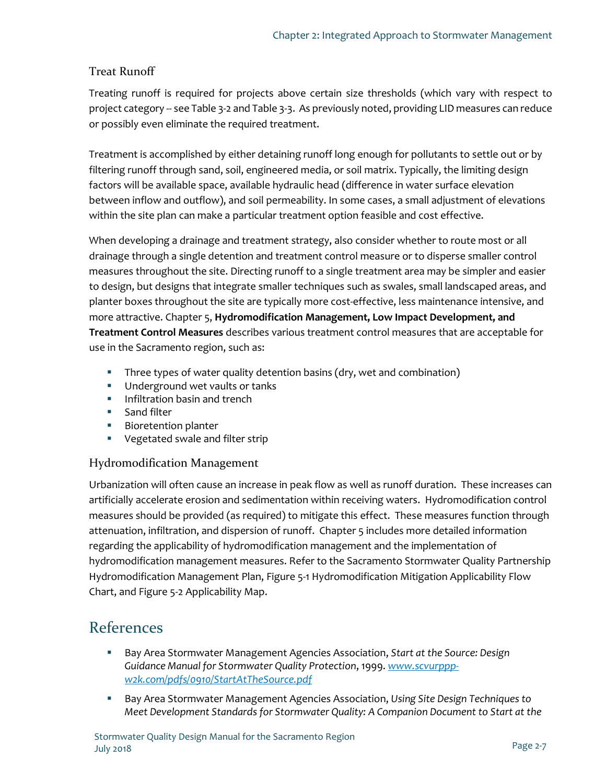# Treat Runoff

Treating runoff is required for projects above certain size thresholds (which vary with respect to project category -- se[e Table 3-2](#page--1-1) and Table 3-3. As previously noted, providing LID measures can reduce or possibly even eliminate the required treatment.

Treatment is accomplished by either detaining runoff long enough for pollutants to settle out or by filtering runoff through sand, soil, engineered media, or soil matrix. Typically, the limiting design factors will be available space, available hydraulic head (difference in water surface elevation between inflow and outflow), and soil permeability. In some cases, a small adjustment of elevations within the site plan can make a particular treatment option feasible and cost effective.

When developing a drainage and treatment strategy, also consider whether to route most or all drainage through a single detention and treatment control measure or to disperse smaller control measures throughout the site. Directing runoff to a single treatment area may be simpler and easier to design, but designs that integrate smaller techniques such as swales, small landscaped areas, and planter boxes throughout the site are typically more cost-effective, less maintenance intensive, and more attractive. [Chapter 5,](#page--1-0) **Hydromodification Management, Low Impact Development, and Treatment Control Measures** describes various treatment control measures that are acceptable for use in the Sacramento region, such as:

- Three types of water quality detention basins (dry, wet and combination)
- **Underground wet vaults or tanks**
- **Infiltration basin and trench**
- **Sand filter**
- **Bioretention planter**
- **•** Vegetated swale and filter strip

# Hydromodification Management

Urbanization will often cause an increase in peak flow as well as runoff duration. These increases can artificially accelerate erosion and sedimentation within receiving waters. Hydromodification control measures should be provided (as required) to mitigate this effect. These measures function through attenuation, infiltration, and dispersion of runoff. [Chapter 5](#page--1-0) includes more detailed information regarding the applicability of hydromodification management and the implementation of hydromodification management measures. Refer to the Sacramento Stormwater Quality Partnership Hydromodification Management Plan, [Figure 5-1](#page--1-0) Hydromodification Mitigation Applicability Flow Chart, and [Figure 5-2](#page--1-1) Applicability Map.

# References

- Bay Area Stormwater Management Agencies Association, *Start at the Source: Design Guidance Manual for Stormwater Quality Protection*, 1999. *[www.scvurppp](file://CARLCA1FS1.bkr.mbakercorp.com/HROOT/PDATA/131115_Sacramento%20LID%20Manual/Deliverables/Task%202%20-%20Manual%20Update/Comments/2018-03-15%20from%20Dalia/www.scvurppp-w2k.com/pdfs/0910/StartAtTheSource.pdf)[w2k.com/pdfs/0910/StartAtTheSource.pdf](file://CARLCA1FS1.bkr.mbakercorp.com/HROOT/PDATA/131115_Sacramento%20LID%20Manual/Deliverables/Task%202%20-%20Manual%20Update/Comments/2018-03-15%20from%20Dalia/www.scvurppp-w2k.com/pdfs/0910/StartAtTheSource.pdf)*
- Bay Area Stormwater Management Agencies Association, *Using Site Design Techniques to Meet Development Standards for Stormwater Quality: A Companion Document to Start at the*